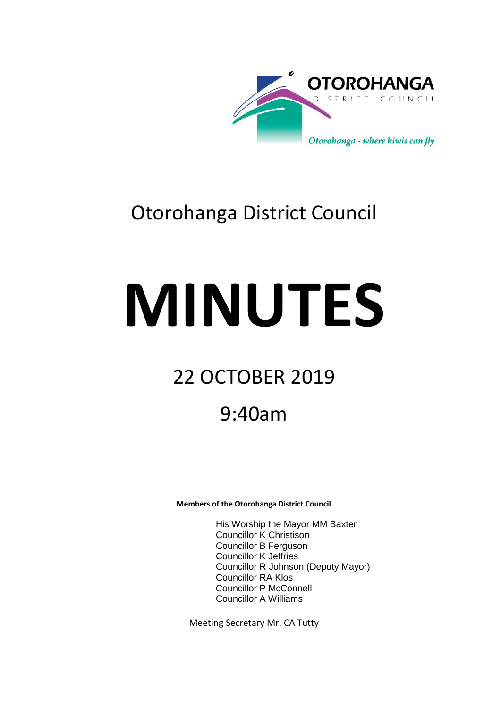

# Otorohanga District Council

# **MINUTES**

# 22 OCTOBER 2019

## 9:40am

**Members of the Otorohanga District Council**

His Worship the Mayor MM Baxter Councillor K Christison Councillor B Ferguson Councillor K Jeffries Councillor R Johnson (Deputy Mayor) Councillor RA Klos Councillor P McConnell Councillor A Williams

Meeting Secretary Mr. CA Tutty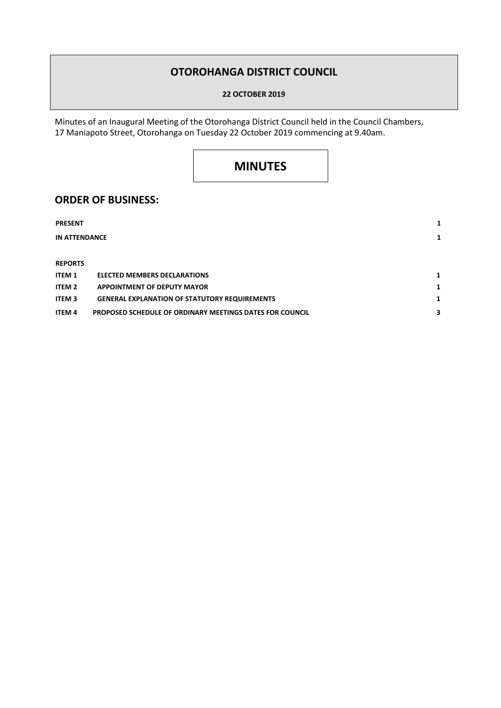## **OTOROHANGA DISTRICT COUNCIL**

**22 OCTOBER 2019**

Minutes of an Inaugural Meeting of the Otorohanga District Council held in the Council Chambers, 17 Maniapoto Street, Otorohanga on Tuesday 22 October 2019 commencing at 9.40am.

## **MINUTES**

### **ORDER OF BUSINESS:**

| <b>PRESENT</b>       |                                                                 |   |
|----------------------|-----------------------------------------------------------------|---|
| <b>IN ATTENDANCE</b> |                                                                 | 1 |
|                      |                                                                 |   |
| <b>REPORTS</b>       |                                                                 |   |
| <b>ITEM 1</b>        | <b>ELECTED MEMBERS DECLARATIONS</b>                             | 1 |
| ITEM 2               | <b>APPOINTMENT OF DEPUTY MAYOR</b>                              | 1 |
| <b>ITEM 3</b>        | <b>GENERAL EXPLANATION OF STATUTORY REQUIREMENTS</b>            | 1 |
| <b>ITEM 4</b>        | <b>PROPOSED SCHEDULE OF ORDINARY MEETINGS DATES FOR COUNCIL</b> | 3 |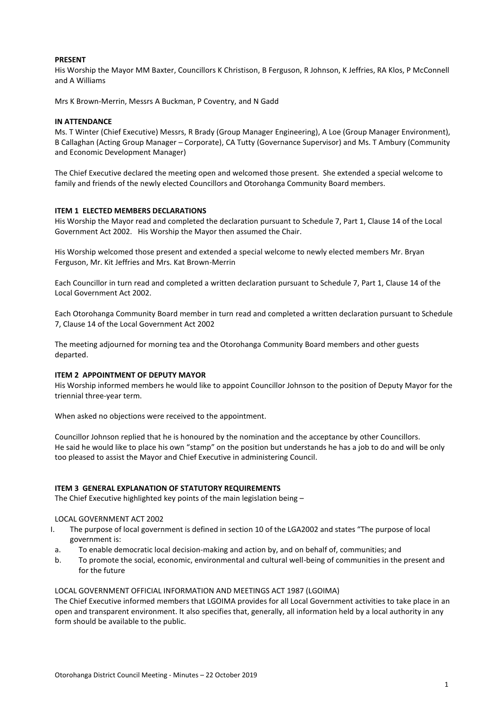#### **PRESENT**

His Worship the Mayor MM Baxter, Councillors K Christison, B Ferguson, R Johnson, K Jeffries, RA Klos, P McConnell and A Williams

Mrs K Brown-Merrin, Messrs A Buckman, P Coventry, and N Gadd

#### **IN ATTENDANCE**

Ms. T Winter (Chief Executive) Messrs, R Brady (Group Manager Engineering), A Loe (Group Manager Environment), B Callaghan (Acting Group Manager – Corporate), CA Tutty (Governance Supervisor) and Ms. T Ambury (Community and Economic Development Manager)

The Chief Executive declared the meeting open and welcomed those present. She extended a special welcome to family and friends of the newly elected Councillors and Otorohanga Community Board members.

#### **ITEM 1 ELECTED MEMBERS DECLARATIONS**

His Worship the Mayor read and completed the declaration pursuant to Schedule 7, Part 1, Clause 14 of the Local Government Act 2002. His Worship the Mayor then assumed the Chair.

His Worship welcomed those present and extended a special welcome to newly elected members Mr. Bryan Ferguson, Mr. Kit Jeffries and Mrs. Kat Brown-Merrin

Each Councillor in turn read and completed a written declaration pursuant to Schedule 7, Part 1, Clause 14 of the Local Government Act 2002.

Each Otorohanga Community Board member in turn read and completed a written declaration pursuant to Schedule 7, Clause 14 of the Local Government Act 2002

The meeting adjourned for morning tea and the Otorohanga Community Board members and other guests departed.

#### **ITEM 2 APPOINTMENT OF DEPUTY MAYOR**

His Worship informed members he would like to appoint Councillor Johnson to the position of Deputy Mayor for the triennial three-year term.

When asked no objections were received to the appointment.

Councillor Johnson replied that he is honoured by the nomination and the acceptance by other Councillors. He said he would like to place his own "stamp" on the position but understands he has a job to do and will be only too pleased to assist the Mayor and Chief Executive in administering Council.

#### **ITEM 3 GENERAL EXPLANATION OF STATUTORY REQUIREMENTS**

The Chief Executive highlighted key points of the main legislation being –

#### LOCAL GOVERNMENT ACT 2002

- I. The purpose of local government is defined in section 10 of the LGA2002 and states "The purpose of local government is:
- a. To enable democratic local decision-making and action by, and on behalf of, communities; and
- b. To promote the social, economic, environmental and cultural well-being of communities in the present and for the future

#### LOCAL GOVERNMENT OFFICIAL INFORMATION AND MEETINGS ACT 1987 (LGOIMA)

The Chief Executive informed members that LGOIMA provides for all Local Government activities to take place in an open and transparent environment. It also specifies that, generally, all information held by a local authority in any form should be available to the public.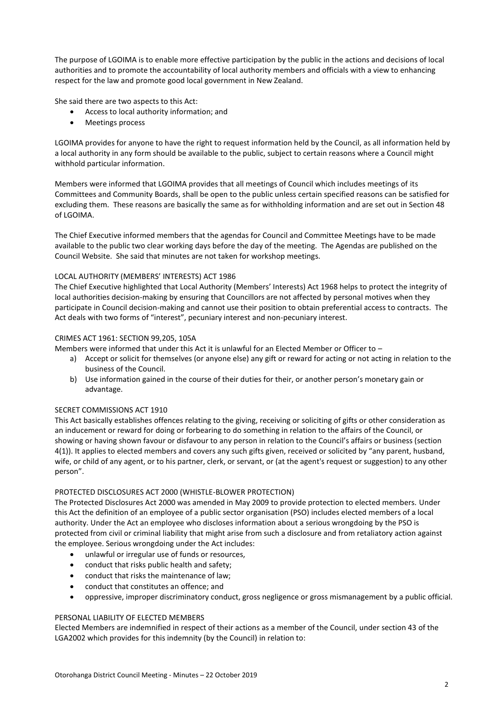The purpose of LGOIMA is to enable more effective participation by the public in the actions and decisions of local authorities and to promote the accountability of local authority members and officials with a view to enhancing respect for the law and promote good local government in New Zealand.

She said there are two aspects to this Act:

- Access to local authority information; and
- Meetings process

LGOIMA provides for anyone to have the right to request information held by the Council, as all information held by a local authority in any form should be available to the public, subject to certain reasons where a Council might withhold particular information.

Members were informed that LGOIMA provides that all meetings of Council which includes meetings of its Committees and Community Boards, shall be open to the public unless certain specified reasons can be satisfied for excluding them. These reasons are basically the same as for withholding information and are set out in Section 48 of LGOIMA.

The Chief Executive informed members that the agendas for Council and Committee Meetings have to be made available to the public two clear working days before the day of the meeting. The Agendas are published on the Council Website. She said that minutes are not taken for workshop meetings.

#### LOCAL AUTHORITY (MEMBERS' INTERESTS) ACT 1986

The Chief Executive highlighted that Local Authority (Members' Interests) Act 1968 helps to protect the integrity of local authorities decision-making by ensuring that Councillors are not affected by personal motives when they participate in Council decision-making and cannot use their position to obtain preferential access to contracts. The Act deals with two forms of "interest", pecuniary interest and non-pecuniary interest.

#### CRIMES ACT 1961: SECTION 99,205, 105A

Members were informed that under this Act it is unlawful for an Elected Member or Officer to –

- a) Accept or solicit for themselves (or anyone else) any gift or reward for acting or not acting in relation to the business of the Council.
- b) Use information gained in the course of their duties for their, or another person's monetary gain or advantage.

#### SECRET COMMISSIONS ACT 1910

This Act basically establishes offences relating to the giving, receiving or soliciting of gifts or other consideration as an inducement or reward for doing or forbearing to do something in relation to the affairs of the Council, or showing or having shown favour or disfavour to any person in relation to the Council's affairs or business (section 4(1)). It applies to elected members and covers any such gifts given, received or solicited by "any parent, husband, wife, or child of any agent, or to his partner, clerk, or servant, or (at the agent's request or suggestion) to any other person".

#### PROTECTED DISCLOSURES ACT 2000 (WHISTLE-BLOWER PROTECTION)

The Protected Disclosures Act 2000 was amended in May 2009 to provide protection to elected members. Under this Act the definition of an employee of a public sector organisation (PSO) includes elected members of a local authority. Under the Act an employee who discloses information about a serious wrongdoing by the PSO is protected from civil or criminal liability that might arise from such a disclosure and from retaliatory action against the employee. Serious wrongdoing under the Act includes:

- unlawful or irregular use of funds or resources,
- conduct that risks public health and safety;
- conduct that risks the maintenance of law;
- conduct that constitutes an offence; and
- oppressive, improper discriminatory conduct, gross negligence or gross mismanagement by a public official.

#### PERSONAL LIABILITY OF ELECTED MEMBERS

Elected Members are indemnified in respect of their actions as a member of the Council, under section 43 of the LGA2002 which provides for this indemnity (by the Council) in relation to: